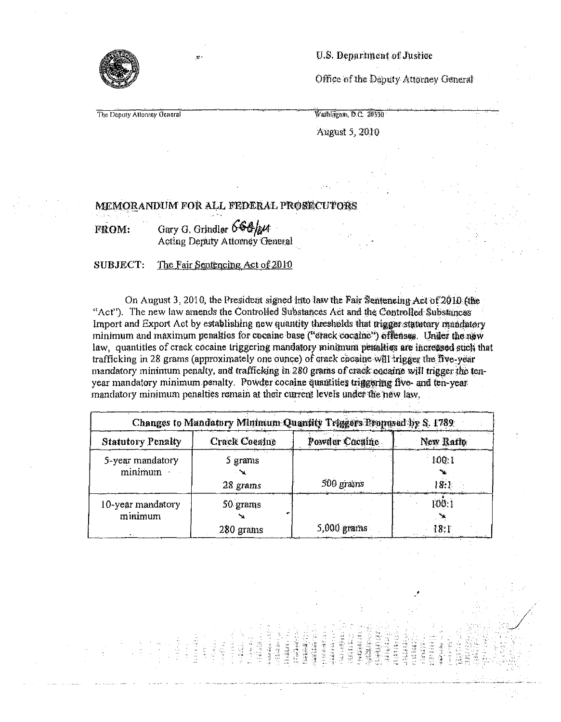

U.S. Department of Justice

Office of the Deputy Attorney General

The Deputy Attorney General

Washington, D.C. 20530 *'* 

August 5, 2010

## memorandum for all Federal Prosecutors

FROM: Gary G. Grindler  $666$ / $\mu$ Acting Deputy Attorney General

## SUBJECT: The Fair Sentencing Act of 2010

On August 3, 2010, the President signed into law the Fair Sentencing Act of 2010 (the ''Act"). The new law amends the Controlled Substances Act and the Controlled Substances Import and Export Act by establishing new quantity thresholds that trigger statutory mandatory minimum and maximum penalties for cocaine base ("crack cocaine") offenses.Under the new law, quantities of crack cocaine triggering mandatory minimum penalties are increased such that trafficking in 28 grams (approximately one ounce) of crack cocaine will trigger the five-year mandatory minimum penalty, and trafficking in 280 grams of crack cocaine will trigger the tenyear mandatory minimum penalty. Powder cocaine quantities triggering five- and ten-year mandatory minimum penalties remain at their current levels under the new law.,

| Changes to Mandatory Minimum Quantity Triggers Proposed by S. 1789 |                      |                |           |
|--------------------------------------------------------------------|----------------------|----------------|-----------|
| <b>Statutory Penalty</b>                                           | <b>Crack Coeaine</b> | Powder Coenine | New Raffo |
| 5-year mandatory                                                   | 5 grams              | 500 grams      | 100:1     |
| minimum                                                            | 28 grams             |                | 18.1.     |
| 10-year mandatory                                                  | 50 grams             | 5,000 grams    | 100:1     |
| minimum                                                            | 280 grams            |                | 18.1      |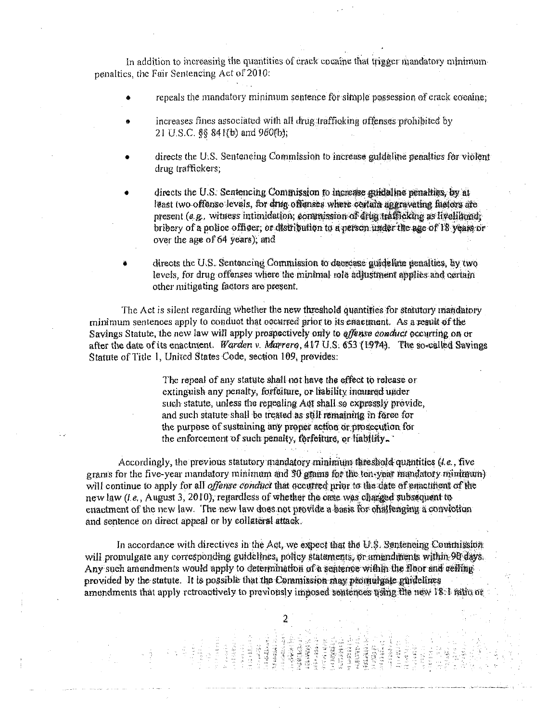In addition to increasing the quantities of crack cocaine that trigger mandatory minimum penalties, the Fair Sentencing Act of 2010,'

- repeals the mandatory minimum sentence for simple possession of crack cocaine
- increases fines associated with all drug trafficking offenses prohibited by 21 U.S.C. §§ 841(b) and 960(b);
- directs the U.S. Sentencing Commission to increase guideline penalties for violent drug traffickers;
- directs the U.S. Sentencing Commission to increase guideline penalties, by at least two offense levels, for drug offenses where certain aggravating factors are present (e.g. witness intimidation, commission of drug trafficking as livelihood, bribery of a police officer, or distribution to a person under the age of 18 years or over the age of 64 years); and
- directs the U.S. Sentencing Commission to decrease guideline penalties, by two levels, for drug offenses where the minimal role adjustment applies and certain other mitigating factors are present.

The Act is silent regarding whether the new threshold quantifies for statutory mandatory minimum sentences apply to conduct that occurred prior to its enactment. As a result of the Savings Statute, the new law will apply prospectively only to *offense conduct* occurring on or after the date of its enactment. Warden v. Marrero, 417 U.S. 653 (1974). The so-called Savings Statute of Title 1, United States Code, section 109, provides:

> The repeal of any statute Shall not have the effect to release or extinguish any penalty, forfeiture, or liability incurred under extinguist any penary, fortunate, or habitity instituted under<br>such statute, unless the repealing Act shall so expressly provide,<br>and such statute shall be treated as still remaining in force for the purpose of sustaining any proper action orprosecution for the enforcement of such penalty, forfeiture, or liability.

Accordingly, the previous statutory mandatory minimum threshold quantities  $(t, e)$ , five grams for the five-year mandatory minimum and 30 grams for the ten year mandatory will continue to apply for all *offense conduct* that occurred prior to the date of enactinent of the new law  $(i.e.,$  August 3, 2010), regardless of whether the case was changed subsequent to enactment of the new law. The new law does not provide a basis for challenging a conviction and sentence on direct appeal or by collateral attack.

In accordance with directives in the Act, we expect that the  $U.S.$  Sentencing Counnission will promulgate any corresponding guidelines, policy statements, or amendments within 90 days. Any such amendments would apply to determination of a sentence within the floor and celling provided by the statute. It is possible that the Commission may promulgate guidelines amendments that apply retroactively to previously imposed sentences using the new 18:1 ratio or

> **Alderei**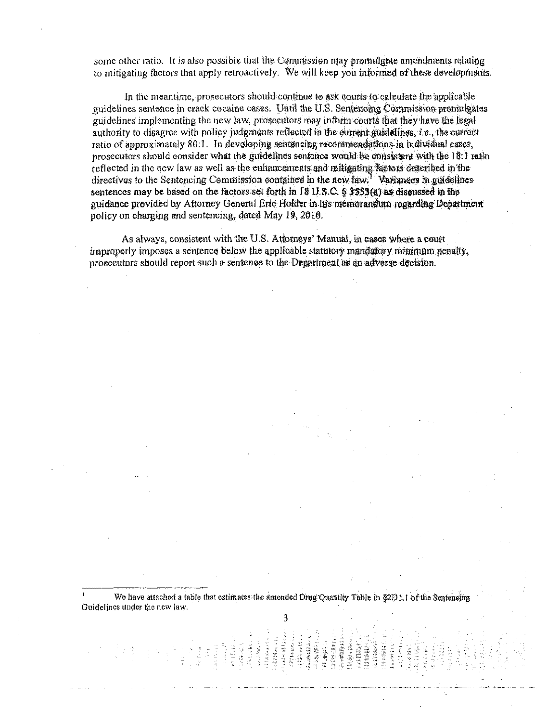some other ratio. It is also possible that the Commission may promulgate amendments relating to mitigating factors that apply retroactively. We will keep you informed of these developments.

In the meantime, prosecutors should continue to ask courts to calculate the applicable guidelines sentence in crack cocaine cases. Until the U.S. Sentencing commission promulgates guidelines implementing the new law, prosecutors may inform courts that they have the legal authority to disagree with policy judgments reflected in the current guidelines, i.e. the current ratio of approximately 80.1. In developing sentencing recommendations in individual cases, prosecutors should consider what the guidelines sentence would be consistent with the 18:1 ratio reflected in the new law as well as the enhancement and mitigating factors described in the directives to the Sentencing Commission contained in the new law. Variances in guidelines sentences may be based on the factors set forth in 18 U.S.C. § 3553(a) as discussed in the guidance provided by Attorney General Eric Holder in his memorandum regarding Department policy on charging and sentencing, dated May 19, 2010.

As always, consistent with the U.S. *Attorneys'* Manual, in cases where a court improperly imposes a sentence below the applicable statutory mandatory minimum penalty., prosecutors should report such a sentence to the Department as an adverge decision.

We have attached a table that estimates the amended Drug Quantity Table in §2D1.1 of the Senteneing Guidelines under the new law.

3

Ÿ.